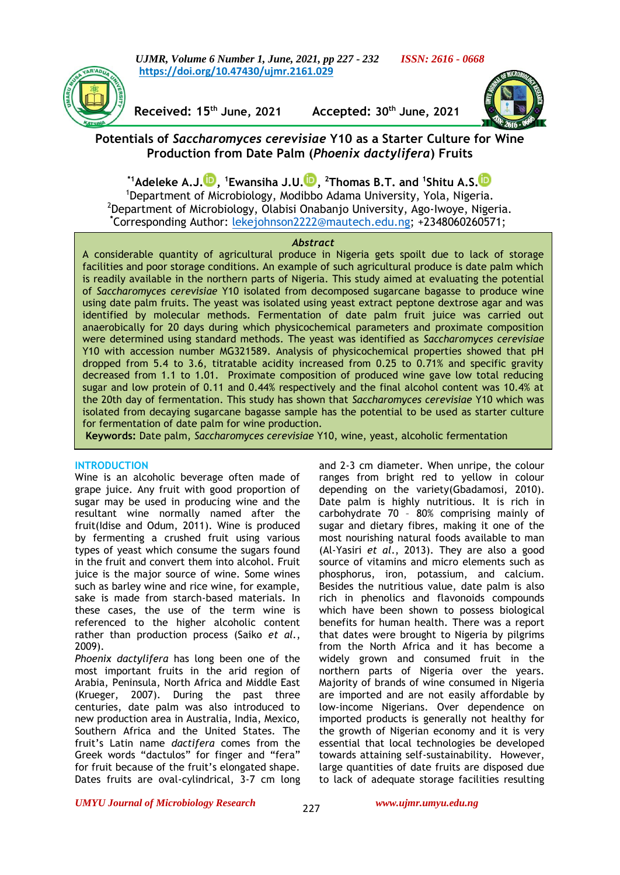*UJMR, Volume 6 Number 1, June, 2021, pp 227 - 232 ISSN: 2616 - 0668* **https://doi.org/10.47430/ujmr.2161.029**



**Received: 15th June, 2021 Accepted: 30th June, 2021**



# **Potentials of** *Saccharomyces cerevisiae* **Y10 as a Starter Culture for Wine Production from Date Palm (***Phoenix dactylifera***) Fruits**

**\*1Adeleke A.J[.](https://orcid.org/0000-0001-7586-5410) , <sup>1</sup>Ewansiha J.U. [,](http://orcid.org/0000-0003-0331-8885) <sup>2</sup>Thomas B.T. and <sup>1</sup> Shitu A.S[.](https://orcid.org/0000-0022-8131-9712)** <sup>1</sup>Department of Microbiology, Modibbo Adama University, Yola, Nigeria. <sup>2</sup>Department of Microbiology, Olabisi Onabanjo University, Ago-Iwoye, Nigeria. **\***Corresponding Author: [lekejohnson2222@mautech.edu.ng;](mailto:lekejohnson2222@mautech.edu.ng) +2348060260571;

## *Abstract*

*Abstract* the 20th day of fermentation. This study has shown that *Saccharomyces cerevisiae* Y10 which was isolated from decaying sugarcane bagasse sample has the potential to be used as starter culture for fermentation of date palm for wine production. The palm which agricultural produce is date palm which agri A considerable quantity of agricultural produce in Nigeria gets spoilt due to lack of storage facilities and poor storage conditions. An example of such agricultural produce is date palm which is readily available in the northern parts of Nigeria. This study aimed at evaluating the potential of *Saccharomyces cerevisiae* Y10 isolated from decomposed sugarcane bagasse to produce wine using date palm fruits. The yeast was isolated using yeast extract peptone dextrose agar and was identified by molecular methods. Fermentation of date palm fruit juice was carried out anaerobically for 20 days during which physicochemical parameters and proximate composition were determined using standard methods. The yeast was identified as *Saccharomyces cerevisiae*  Y10 with accession number MG321589. Analysis of physicochemical properties showed that pH dropped from 5.4 to 3.6, titratable acidity increased from 0.25 to 0.71% and specific gravity decreased from 1.1 to 1.01. Proximate composition of produced wine gave low total reducing sugar and low protein of 0.11 and 0.44% respectively and the final alcohol content was 10.4% at

**Keywords:** Date palm, *Saccharomyces cerevisiae* Y10, wine, yeast, alcoholic fermentation **Keywords:** Date palm, *Saccharomyces cerevisiae* Y10, wine, yeast, alcoholic fermentation

# **INTRODUCTION**

Wine is an alcoholic beverage often made of grape juice. Any fruit with good proportion of sugar may be used in producing wine and the resultant wine normally named after the fruit(Idise and Odum, 2011). Wine is produced by fermenting a crushed fruit using various types of yeast which consume the sugars found in the fruit and convert them into alcohol. Fruit juice is the major source of wine. Some wines such as barley wine and rice wine, for example, sake is made from starch-based materials. In these cases, the use of the term wine is referenced to the higher alcoholic content rather than production process (Saiko *et al.*, 2009).

*Phoenix dactylifera* has long been one of the most important fruits in the arid region of Arabia, Peninsula, North Africa and Middle East (Krueger, 2007). During the past three centuries, date palm was also introduced to new production area in Australia, India, Mexico, Southern Africa and the United States. The fruit's Latin name *dactifera* comes from the Greek words "dactulos" for finger and "fera" for fruit because of the fruit's elongated shape. Dates fruits are oval-cylindrical, 3-7 cm long and 2-3 cm diameter. When unripe, the colour ranges from bright red to yellow in colour depending on the variety(Gbadamosi, 2010). Date palm is highly nutritious. It is rich in carbohydrate 70 – 80% comprising mainly of sugar and dietary fibres, making it one of the most nourishing natural foods available to man (Al-Yasiri *et al*., 2013). They are also a good source of vitamins and micro elements such as phosphorus, iron, potassium, and calcium. Besides the nutritious value, date palm is also rich in phenolics and flavonoids compounds which have been shown to possess biological benefits for human health. There was a report that dates were brought to Nigeria by pilgrims from the North Africa and it has become a widely grown and consumed fruit in the northern parts of Nigeria over the years. Majority of brands of wine consumed in Nigeria are imported and are not easily affordable by low-income Nigerians. Over dependence on imported products is generally not healthy for the growth of Nigerian economy and it is very essential that local technologies be developed towards attaining self-sustainability. However, large quantities of date fruits are disposed due to lack of adequate storage facilities resulting

## *UMYU Journal of Microbiology Research www.ujmr.umyu.edu.ng*

227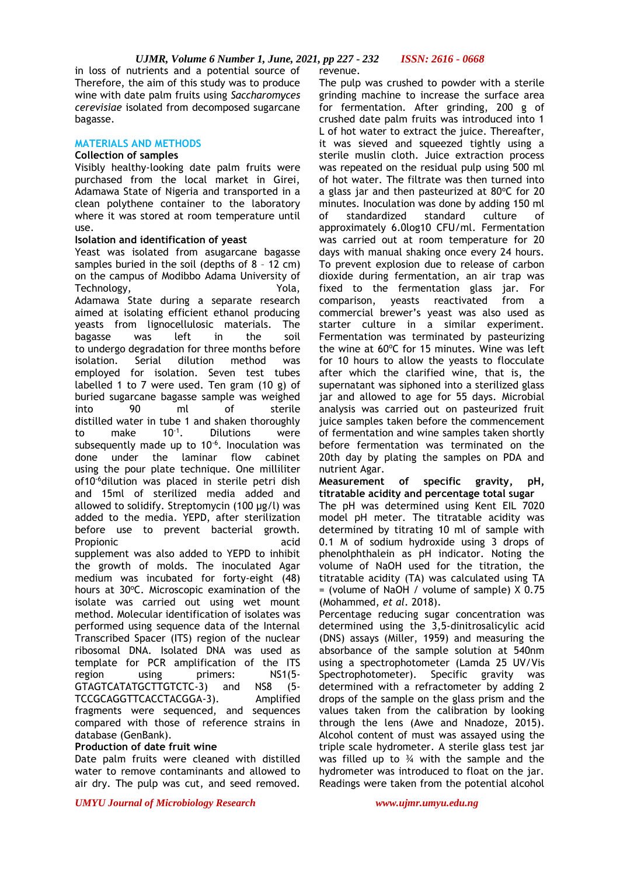in loss of nutrients and a potential source of revenue. Therefore, the aim of this study was to produce wine with date palm fruits using *Saccharomyces cerevisiae* isolated from decomposed sugarcane bagasse.

### **MATERIALS AND METHODS**

### **Collection of samples**

Visibly healthy-looking date palm fruits were purchased from the local market in Girei, Adamawa State of Nigeria and transported in a clean polythene container to the laboratory where it was stored at room temperature until use.

### **Isolation and identification of yeast**

Yeast was isolated from asugarcane bagasse samples buried in the soil (depths of 8 – 12 cm) on the campus of Modibbo Adama University of Technology,  $Yola$ , Adamawa State during a separate research aimed at isolating efficient ethanol producing yeasts from lignocellulosic materials. The bagasse was left in the soil to undergo degradation for three months before isolation. Serial dilution method was employed for isolation. Seven test tubes labelled 1 to 7 were used. Ten gram (10 g) of buried sugarcane bagasse sample was weighed into 90 ml of sterile distilled water in tube 1 and shaken thoroughly to make  $10^{-1}$ . . Dilutions were subsequently made up to  $10^{-6}$ . Inoculation was done under the laminar flow cabinet using the pour plate technique. One milliliter of10-6dilution was placed in sterile petri dish and 15ml of sterilized media added and allowed to solidify. Streptomycin (100 µg/l) was added to the media. YEPD, after sterilization before use to prevent bacterial growth. Propionic acid supplement was also added to YEPD to inhibit the growth of molds. The inoculated Agar medium was incubated for forty-eight (48) hours at 30°C. Microscopic examination of the isolate was carried out using wet mount method. Molecular identification of isolates was performed using sequence data of the Internal Transcribed Spacer (ITS) region of the nuclear ribosomal DNA. Isolated DNA was used as template for PCR amplification of the ITS region using primers: NS1(5- GTAGTCATATGCTTGTCTC-3) and NS8 (5- TCCGCAGGTTCACCTACGGA-3). Amplified fragments were sequenced, and sequences compared with those of reference strains in database (GenBank).

## **Production of date fruit wine**

Date palm fruits were cleaned with distilled water to remove contaminants and allowed to air dry. The pulp was cut, and seed removed.

The pulp was crushed to powder with a sterile grinding machine to increase the surface area for fermentation. After grinding, 200 g of crushed date palm fruits was introduced into 1 L of hot water to extract the juice. Thereafter, it was sieved and squeezed tightly using a sterile muslin cloth. Juice extraction process was repeated on the residual pulp using 500 ml of hot water. The filtrate was then turned into a glass jar and then pasteurized at  $80^{\circ}$ C for 20 minutes. Inoculation was done by adding 150 ml of standardized standard culture of approximately 6.0log10 CFU/ml. Fermentation was carried out at room temperature for 20 days with manual shaking once every 24 hours. To prevent explosion due to release of carbon dioxide during fermentation, an air trap was fixed to the fermentation glass jar. For comparison, yeasts reactivated from a commercial brewer's yeast was also used as starter culture in a similar experiment. Fermentation was terminated by pasteurizing the wine at  $60^{\circ}$ C for 15 minutes. Wine was left for 10 hours to allow the yeasts to flocculate after which the clarified wine, that is, the supernatant was siphoned into a sterilized glass jar and allowed to age for 55 days. Microbial analysis was carried out on pasteurized fruit juice samples taken before the commencement of fermentation and wine samples taken shortly before fermentation was terminated on the 20th day by plating the samples on PDA and nutrient Agar.

**Measurement of specific gravity, pH, titratable acidity and percentage total sugar**

The pH was determined using Kent EIL 7020 model pH meter. The titratable acidity was determined by titrating 10 ml of sample with 0.1 M of sodium hydroxide using 3 drops of phenolphthalein as pH indicator. Noting the volume of NaOH used for the titration, the titratable acidity (TA) was calculated using TA = (volume of NaOH / volume of sample) X 0.75 (Mohammed, *et al*. 2018).

Percentage reducing sugar concentration was determined using the 3,5-dinitrosalicylic acid (DNS) assays (Miller, 1959) and measuring the absorbance of the sample solution at 540nm using a spectrophotometer (Lamda 25 UV/Vis Spectrophotometer). Specific gravity was determined with a refractometer by adding 2 drops of the sample on the glass prism and the values taken from the calibration by looking through the lens (Awe and Nnadoze, 2015). Alcohol content of must was assayed using the triple scale hydrometer. A sterile glass test jar was filled up to  $\frac{3}{4}$  with the sample and the hydrometer was introduced to float on the jar. Readings were taken from the potential alcohol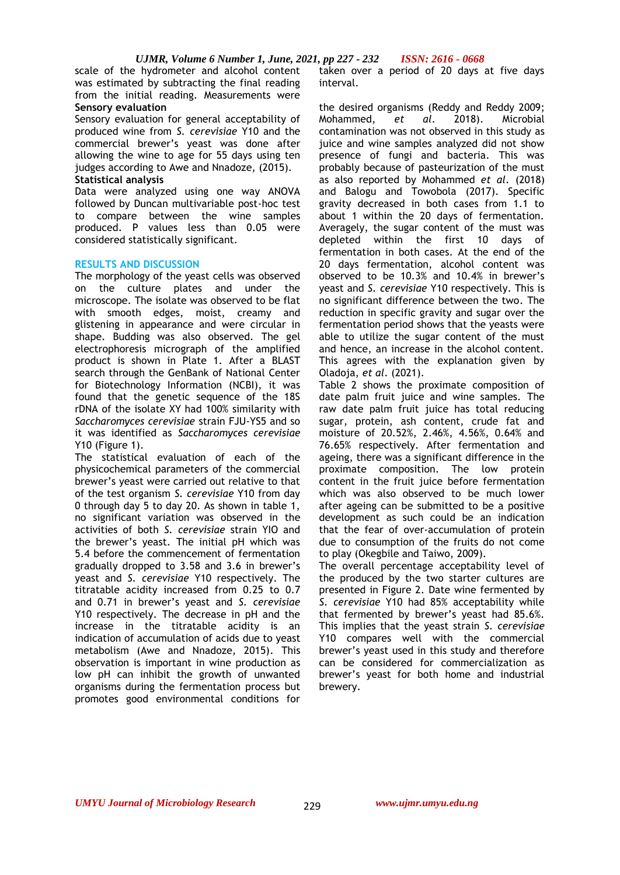scale of the hydrometer and alcohol content was estimated by subtracting the final reading from the initial reading. Measurements were **Sensory evaluation**

Sensory evaluation for general acceptability of produced wine from *S. cerevisiae* Y10 and the commercial brewer's yeast was done after allowing the wine to age for 55 days using ten judges according to Awe and Nnadoze, (2015).

## **Statistical analysis**

Data were analyzed using one way ANOVA followed by Duncan multivariable post-hoc test to compare between the wine samples produced. P values less than 0.05 were considered statistically significant.

## **RESULTS AND DISCUSSION**

The morphology of the yeast cells was observed on the culture plates and under the microscope. The isolate was observed to be flat with smooth edges, moist, creamy and glistening in appearance and were circular in shape. Budding was also observed. The gel electrophoresis micrograph of the amplified product is shown in Plate 1. After a BLAST search through the GenBank of National Center for Biotechnology Information (NCBI), it was found that the genetic sequence of the 18S rDNA of the isolate XY had 100% similarity with *Saccharomyces cerevisiae* strain FJU-YS5 and so it was identified as *Saccharomyces cerevisiae*  Y10 (Figure 1).

The statistical evaluation of each of the physicochemical parameters of the commercial brewer's yeast were carried out relative to that of the test organism *S. cerevisiae* Y10 from day 0 through day 5 to day 20. As shown in table 1, no significant variation was observed in the activities of both *S. cerevisiae* strain YIO and the brewer's yeast. The initial pH which was 5.4 before the commencement of fermentation gradually dropped to 3.58 and 3.6 in brewer's yeast and *S. cerevisiae* Y10 respectively. The titratable acidity increased from 0.25 to 0.7 and 0.71 in brewer's yeast and *S. cerevisiae* Y10 respectively. The decrease in pH and the increase in the titratable acidity is an indication of accumulation of acids due to yeast metabolism (Awe and Nnadoze, 2015). This observation is important in wine production as low pH can inhibit the growth of unwanted organisms during the fermentation process but promotes good environmental conditions for

taken over a period of 20 days at five days interval.

the desired organisms (Reddy and Reddy 2009; Mohammed, *et al*. 2018). Microbial contamination was not observed in this study as juice and wine samples analyzed did not show presence of fungi and bacteria. This was probably because of pasteurization of the must as also reported by Mohammed *et al*. (2018) and Balogu and Towobola (2017). Specific gravity decreased in both cases from 1.1 to about 1 within the 20 days of fermentation. Averagely, the sugar content of the must was depleted within the first 10 days of fermentation in both cases. At the end of the 20 days fermentation, alcohol content was observed to be 10.3% and 10.4% in brewer's yeast and *S. cerevisiae* Y10 respectively. This is no significant difference between the two. The reduction in specific gravity and sugar over the fermentation period shows that the yeasts were able to utilize the sugar content of the must and hence, an increase in the alcohol content. This agrees with the explanation given by Oladoja, *et al*. (2021).

Table 2 shows the proximate composition of date palm fruit juice and wine samples. The raw date palm fruit juice has total reducing sugar, protein, ash content, crude fat and moisture of 20.52%, 2.46%, 4.56%, 0.64% and 76.65% respectively. After fermentation and ageing, there was a significant difference in the proximate composition. The low protein content in the fruit juice before fermentation which was also observed to be much lower after ageing can be submitted to be a positive development as such could be an indication that the fear of over-accumulation of protein due to consumption of the fruits do not come to play (Okegbile and Taiwo, 2009).

The overall percentage acceptability level of the produced by the two starter cultures are presented in Figure 2. Date wine fermented by *S. cerevisiae* Y10 had 85% acceptability while that fermented by brewer's yeast had 85.6%. This implies that the yeast strain *S. cerevisiae* Y10 compares well with the commercial brewer's yeast used in this study and therefore can be considered for commercialization as brewer's yeast for both home and industrial brewery.

229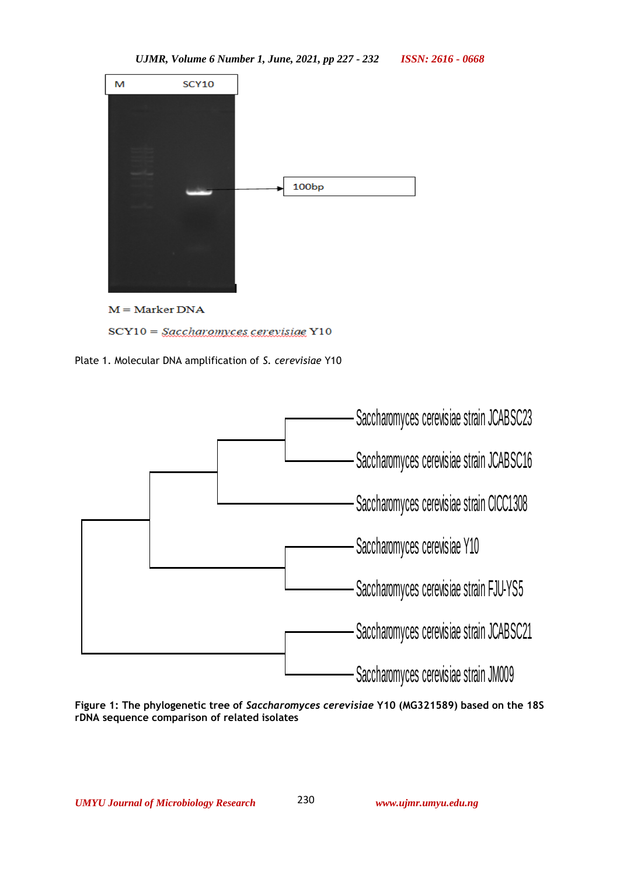

Plate 1. Molecular DNA amplification of *S. cerevisiae* Y10



**Figure 1: The phylogenetic tree of** *Saccharomyces cerevisiae* **Y10 (MG321589) based on the 18S rDNA sequence comparison of related isolates**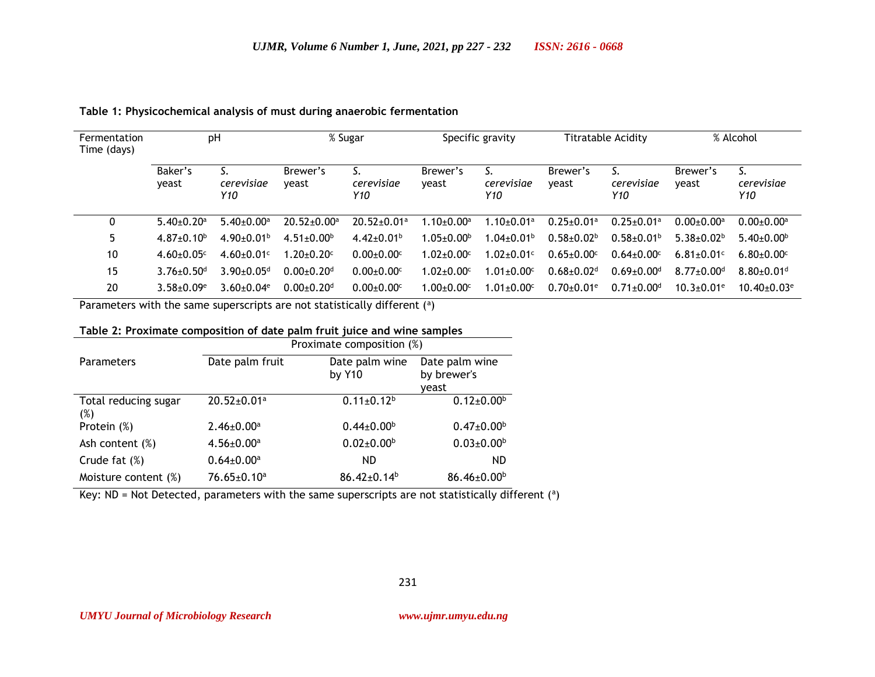| Fermentation<br>Time (days) | pH                           |                              | % Sugar                       |                               | Specific gravity                    |                              | <b>Titratable Acidity</b>  |                              | % Alcohol                    |                              |
|-----------------------------|------------------------------|------------------------------|-------------------------------|-------------------------------|-------------------------------------|------------------------------|----------------------------|------------------------------|------------------------------|------------------------------|
|                             | Baker's<br>veast             | cerevisiae<br>Y10            | Brewer's<br>yeast             | cerevisiae<br>Y10             | Brewer's<br>yeast                   | cerevisiae<br>Y10            | Brewer's<br>veast          | cerevisiae<br>Y10            | Brewer's<br>yeast            | cerevisiae<br>Y10            |
|                             | $5.40+0.20a$                 | $5.40+0.00a$                 | $20.52 \pm 0.00$ <sup>a</sup> | $20.52 \pm 0.01$ <sup>a</sup> | $1.10{\scriptstyle\pm0.00^{\rm a}}$ | $1.10 + 0.01$ a              | $0.25 + 0.01a$             | $0.25 \pm 0.01$ <sup>a</sup> | $0.00 + 0.00$ <sup>a</sup>   | $0.00 + 0.00$ <sup>a</sup>   |
| 5.                          | $4.87 + 0.10^b$              | $4.90 \pm 0.01$ <sup>b</sup> | $4.51 \pm 0.00$ <sup>b</sup>  | $4.42 \pm 0.01^b$             | $1.05 \pm 0.00^{\circ}$             | $1.04 \pm 0.01^{\mathrm{b}}$ | $0.58 + 0.02b$             | $0.58 \pm 0.01$ <sup>b</sup> | $5.38 + 0.02b$               | $5.40\pm0.00b$               |
| 10                          | $4.60 \pm 0.05$ <sup>c</sup> | $4.60 \pm 0.01$ <sup>c</sup> | $1.20 \pm 0.20$ c             | $0.00 + 0.00$ c               | $1.02 \pm 0.00$ <sup>c</sup>        | $1.02 \pm 0.01$ <sup>c</sup> | $0.65 \pm 0.00$ c          | $0.64 \pm 0.00$ <sup>c</sup> | $6.81 \pm 0.01$ <sup>c</sup> | $6.80 \pm 0.00$ <sup>c</sup> |
| 15                          | $3.76 \pm 0.50$ <sup>d</sup> | $3.90 \pm 0.05$ <sup>d</sup> | $0.00 + 0.20$ <sup>d</sup>    | $0.00 + 0.00$ c               | $1.02 \pm 0.00$ <sup>c</sup>        | $.01 \pm 0.00$ <sup>c</sup>  | $0.68 + 0.02d$             | $0.69 \pm 0.00$ <sup>d</sup> | $8.77 + 0.00$ <sup>d</sup>   | $8.80 \pm 0.01$ <sup>d</sup> |
| 20                          | $3.58 + 0.09e$               | $3.60 + 0.04$ <sup>e</sup>   | $0.00 + 0.20$ <sup>d</sup>    | $0.00 + 0.00$ c               | $1.00 + 0.00c$                      | $1.01 + 0.00c$               | $0.70 + 0.01$ <sup>e</sup> | $0.71 + 0.00$ <sup>d</sup>   | $10.3 + 0.01$ <sup>e</sup>   | $10.40 + 0.03$ <sup>e</sup>  |

## **Table 1: Physicochemical analysis of must during anaerobic fermentation**

Parameters with the same superscripts are not statistically different  $(2)$ 

# **Table 2: Proximate composition of date palm fruit juice and wine samples**

|                             | Proximate composition (%)    |                              |                                        |  |  |  |  |
|-----------------------------|------------------------------|------------------------------|----------------------------------------|--|--|--|--|
| <b>Parameters</b>           | Date palm fruit              | Date palm wine<br>by Y10     | Date palm wine<br>by brewer's<br>veast |  |  |  |  |
| Total reducing sugar<br>(%) | 20.52±0.01 <sup>a</sup>      | $0.11 \pm 0.12$ <sup>b</sup> | $0.12 \pm 0.00^{\circ}$                |  |  |  |  |
| Protein (%)                 | $2.46 \pm 0.00^a$            | $0.44 \pm 0.00^b$            | $0.47 \pm 0.00^b$                      |  |  |  |  |
| Ash content (%)             | $4.56 \pm 0.00^a$            | $0.02 \pm 0.00$ <sup>b</sup> | $0.03 \pm 0.00$ <sup>b</sup>           |  |  |  |  |
| Crude fat $(\%)$            | $0.64 \pm 0.00$ <sup>a</sup> | ND.                          | <b>ND</b>                              |  |  |  |  |
| Moisture content (%)        | $76.65 \pm 0.10^a$           | $86.42 \pm 0.14^b$           | $86.46 \pm 0.00^b$                     |  |  |  |  |

Key: ND = Not Detected, parameters with the same superscripts are not statistically different  $(2)$